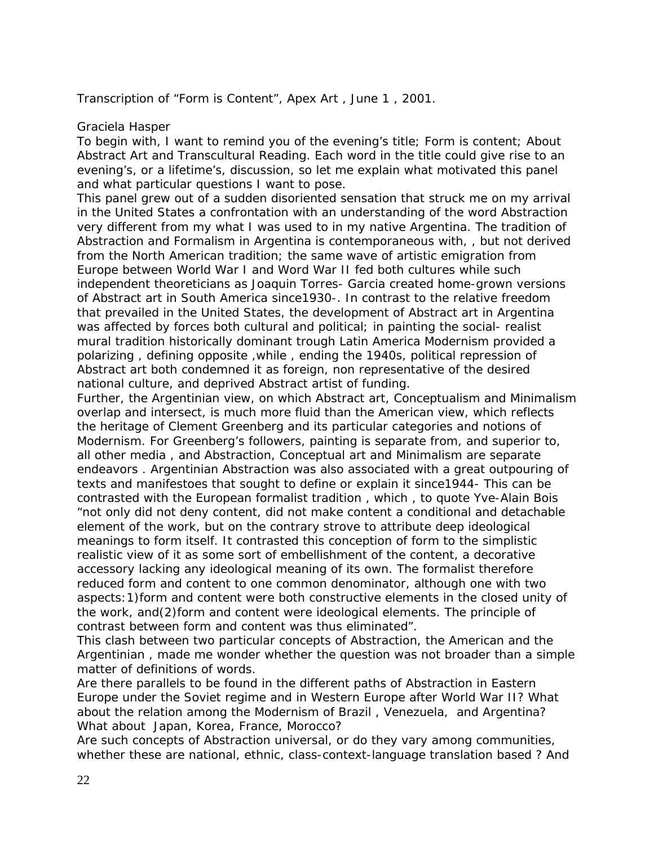Transcription of "Form is Content", Apex Art , June 1 , 2001.

# Graciela Hasper

To begin with, I want to remind you of the evening's title; Form is content; About Abstract Art and Transcultural Reading. Each word in the title could give rise to an evening's, or a lifetime's, discussion, so let me explain what motivated this panel and what particular questions I want to pose.

This panel grew out of a sudden disoriented sensation that struck me on my arrival in the United States a confrontation with an understanding of the word Abstraction very different from my what I was used to in my native Argentina. The tradition of Abstraction and Formalism in Argentina is contemporaneous with, , but not derived from the North American tradition; the same wave of artistic emigration from Europe between World War I and Word War II fed both cultures while such independent theoreticians as Joaquin Torres- Garcia created home-grown versions of Abstract art in South America since1930-. In contrast to the relative freedom that prevailed in the United States, the development of Abstract art in Argentina was affected by forces both cultural and political; in painting the social- realist mural tradition historically dominant trough Latin America Modernism provided a polarizing , defining opposite ,while , ending the 1940s, political repression of Abstract art both condemned it as foreign, non representative of the desired national culture, and deprived Abstract artist of funding.

Further, the Argentinian view, on which Abstract art, Conceptualism and Minimalism overlap and intersect, is much more fluid than the American view, which reflects the heritage of Clement Greenberg and its particular categories and notions of Modernism. For Greenberg's followers, painting is separate from, and superior to, all other media , and Abstraction, Conceptual art and Minimalism are separate endeavors . Argentinian Abstraction was also associated with a great outpouring of texts and manifestoes that sought to define or explain it since1944- This can be contrasted with the European formalist tradition , which , to quote Yve-Alain Bois "not only did not deny content, did not make content a conditional and detachable element of the work, but on the contrary strove to attribute deep ideological meanings to form itself. It contrasted this conception of form to the simplistic realistic view of it as some sort of embellishment of the content, a decorative accessory lacking any ideological meaning of its own. The formalist therefore reduced form and content to one common denominator, although one with two aspects:1)form and content were both constructive elements in the closed unity of the work, and(2)form and content were ideological elements. The principle of contrast between form and content was thus eliminated".

This clash between two particular concepts of Abstraction, the American and the Argentinian , made me wonder whether the question was not broader than a simple matter of definitions of words.

Are there parallels to be found in the different paths of Abstraction in Eastern Europe under the Soviet regime and in Western Europe after World War II? What about the relation among the Modernism of Brazil , Venezuela, and Argentina? What about Japan, Korea, France, Morocco?

Are such concepts of Abstraction universal, or do they vary among communities, whether these are national, ethnic, class-context-language translation based ? And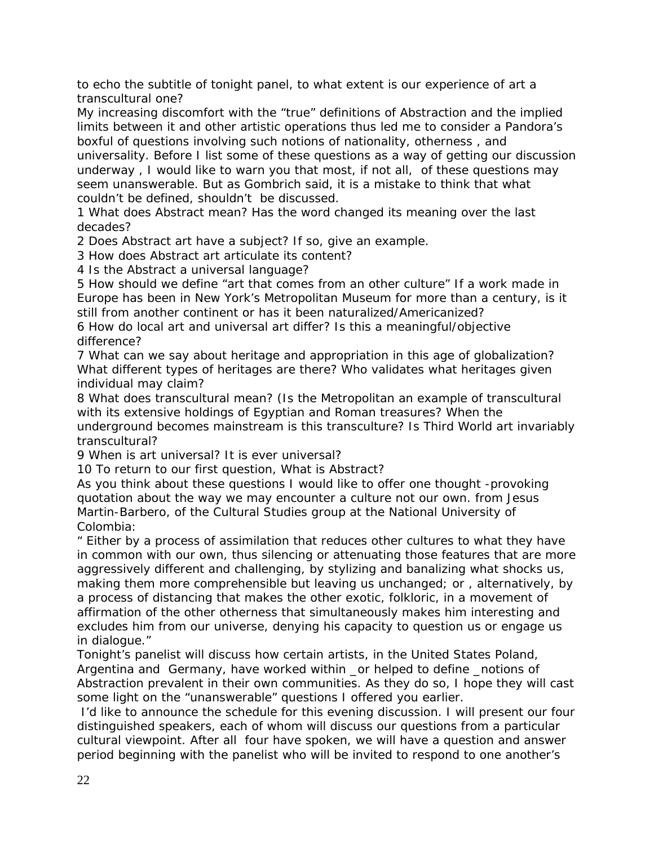to echo the subtitle of tonight panel, to what extent is our experience of art a transcultural one?

My increasing discomfort with the "true" definitions of Abstraction and the implied limits between it and other artistic operations thus led me to consider a Pandora's boxful of questions involving such notions of nationality, otherness , and universality. Before I list some of these questions as a way of getting our discussion underway , I would like to warn you that most, if not all, of these questions may seem unanswerable. But as Gombrich said, it is a mistake to think that what couldn't be defined, shouldn't be discussed.

1 What does Abstract mean? Has the word changed its meaning over the last decades?

2 Does Abstract art have a subject? If so, give an example.

3 How does Abstract art articulate its content?

4 Is the Abstract a universal language?

5 How should we define "art that comes from an other culture" If a work made in Europe has been in New York's Metropolitan Museum for more than a century, is it still from another continent or has it been naturalized/Americanized?

6 How do local art and universal art differ? Is this a meaningful/objective difference?

7 What can we say about heritage and appropriation in this age of globalization? What different types of heritages are there? Who validates what heritages given individual may claim?

8 What does transcultural mean? (Is the Metropolitan an example of transcultural with its extensive holdings of Egyptian and Roman treasures? When the underground becomes mainstream is this transculture? Is Third World art invariably transcultural?

9 When is art universal? It is ever universal?

10 To return to our first question, What is Abstract?

As you think about these questions I would like to offer one thought -provoking quotation about the way we may encounter a culture not our own. from Jesus Martin-Barbero, of the Cultural Studies group at the National University of Colombia:

" Either by a process of assimilation that reduces other cultures to what they have in common with our own, thus silencing or attenuating those features that are more aggressively different and challenging, by stylizing and banalizing what shocks us, making them more comprehensible but leaving us unchanged; or , alternatively, by a process of distancing that makes the other exotic, folkloric, in a movement of affirmation of the other otherness that simultaneously makes him interesting and excludes him from our universe, denying his capacity to question us or engage us in dialogue."

Tonight's panelist will discuss how certain artists, in the United States Poland, Argentina and Germany, have worked within \_or helped to define \_notions of Abstraction prevalent in their own communities. As they do so, I hope they will cast some light on the "unanswerable" questions I offered you earlier.

 I'd like to announce the schedule for this evening discussion. I will present our four distinguished speakers, each of whom will discuss our questions from a particular cultural viewpoint. After all four have spoken, we will have a question and answer period beginning with the panelist who will be invited to respond to one another's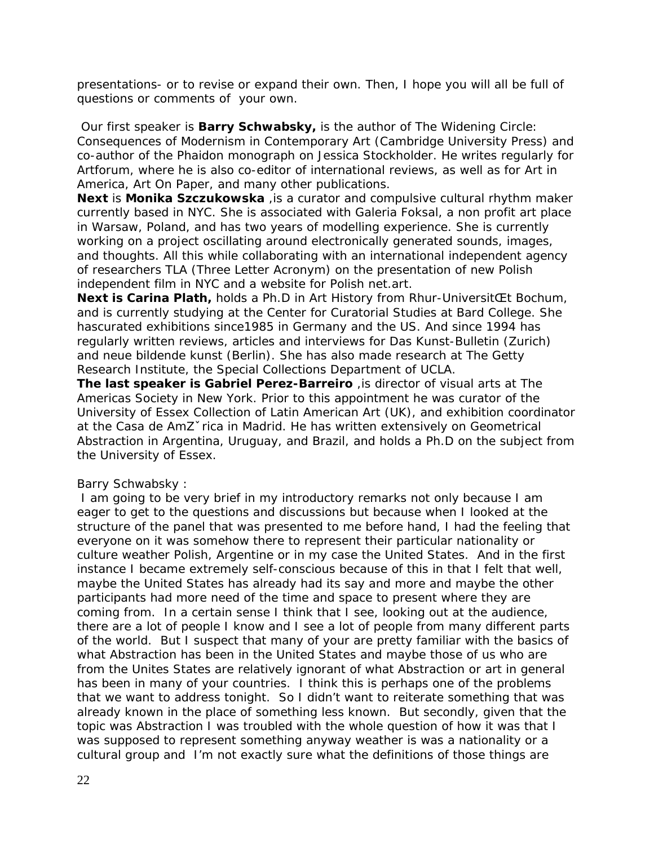presentations- or to revise or expand their own. Then, I hope you will all be full of questions or comments of your own.

 Our first speaker is **Barry Schwabsky,** is the author of The Widening Circle: Consequences of Modernism in Contemporary Art (Cambridge University Press) and co-author of the Phaidon monograph on Jessica Stockholder. He writes regularly for Artforum, where he is also co-editor of international reviews, as well as for Art in America, Art On Paper, and many other publications.

**Next** is **Monika Szczukowska** ,is a curator and compulsive cultural rhythm maker currently based in NYC. She is associated with Galeria Foksal, a non profit art place in Warsaw, Poland, and has two years of modelling experience. She is currently working on a project oscillating around electronically generated sounds, images, and thoughts. All this while collaborating with an international independent agency of researchers TLA (Three Letter Acronym) on the presentation of new Polish independent film in NYC and a website for Polish net.art.

**Next is Carina Plath,** holds a Ph.D in Art History from Rhur-UniversitŒt Bochum, and is currently studying at the Center for Curatorial Studies at Bard College. She hascurated exhibitions since1985 in Germany and the US. And since 1994 has regularly written reviews, articles and interviews for Das Kunst-Bulletin (Zurich) and neue bildende kunst (Berlin). She has also made research at The Getty Research Institute, the Special Collections Department of UCLA.

**The last speaker is Gabriel Perez-Barreiro** ,is director of visual arts at The Americas Society in New York. Prior to this appointment he was curator of the University of Essex Collection of Latin American Art (UK), and exhibition coordinator at the Casa de AmZˇrica in Madrid. He has written extensively on Geometrical Abstraction in Argentina, Uruguay, and Brazil, and holds a Ph.D on the subject from the University of Essex.

Barry Schwabsky :

 I am going to be very brief in my introductory remarks not only because I am eager to get to the questions and discussions but because when I looked at the structure of the panel that was presented to me before hand, I had the feeling that everyone on it was somehow there to represent their particular nationality or culture weather Polish, Argentine or in my case the United States. And in the first instance I became extremely self-conscious because of this in that I felt that well, maybe the United States has already had its say and more and maybe the other participants had more need of the time and space to present where they are coming from. In a certain sense I think that I see, looking out at the audience, there are a lot of people I know and I see a lot of people from many different parts of the world. But I suspect that many of your are pretty familiar with the basics of what Abstraction has been in the United States and maybe those of us who are from the Unites States are relatively ignorant of what Abstraction or art in general has been in many of your countries. I think this is perhaps one of the problems that we want to address tonight. So I didn't want to reiterate something that was already known in the place of something less known. But secondly, given that the topic was Abstraction I was troubled with the whole question of how it was that I was supposed to represent something anyway weather is was a nationality or a cultural group and I'm not exactly sure what the definitions of those things are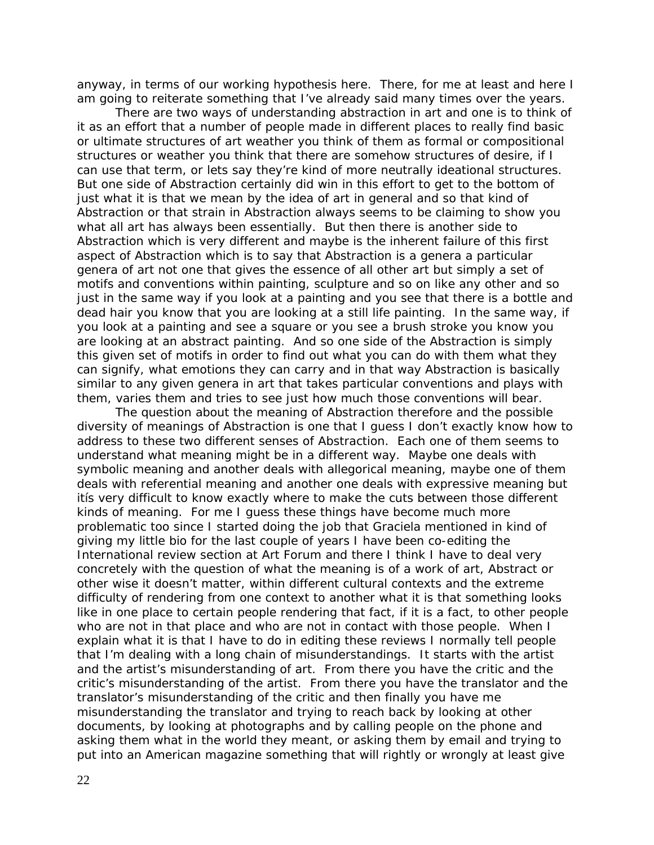anyway, in terms of our working hypothesis here. There, for me at least and here I am going to reiterate something that I've already said many times over the years.

There are two ways of understanding abstraction in art and one is to think of it as an effort that a number of people made in different places to really find basic or ultimate structures of art weather you think of them as formal or compositional structures or weather you think that there are somehow structures of desire, if I can use that term, or lets say they're kind of more neutrally ideational structures. But one side of Abstraction certainly did win in this effort to get to the bottom of just what it is that we mean by the idea of art in general and so that kind of Abstraction or that strain in Abstraction always seems to be claiming to show you what all art has always been essentially. But then there is another side to Abstraction which is very different and maybe is the inherent failure of this first aspect of Abstraction which is to say that Abstraction is a genera a particular genera of art not one that gives the essence of all other art but simply a set of motifs and conventions within painting, sculpture and so on like any other and so just in the same way if you look at a painting and you see that there is a bottle and dead hair you know that you are looking at a still life painting. In the same way, if you look at a painting and see a square or you see a brush stroke you know you are looking at an abstract painting. And so one side of the Abstraction is simply this given set of motifs in order to find out what you can do with them what they can signify, what emotions they can carry and in that way Abstraction is basically similar to any given genera in art that takes particular conventions and plays with them, varies them and tries to see just how much those conventions will bear.

The question about the meaning of Abstraction therefore and the possible diversity of meanings of Abstraction is one that I guess I don't exactly know how to address to these two different senses of Abstraction. Each one of them seems to understand what meaning might be in a different way. Maybe one deals with symbolic meaning and another deals with allegorical meaning, maybe one of them deals with referential meaning and another one deals with expressive meaning but itís very difficult to know exactly where to make the cuts between those different kinds of meaning. For me I guess these things have become much more problematic too since I started doing the job that Graciela mentioned in kind of giving my little bio for the last couple of years I have been co-editing the International review section at Art Forum and there I think I have to deal very concretely with the question of what the meaning is of a work of art, Abstract or other wise it doesn't matter, within different cultural contexts and the extreme difficulty of rendering from one context to another what it is that something looks like in one place to certain people rendering that fact, if it is a fact, to other people who are not in that place and who are not in contact with those people. When I explain what it is that I have to do in editing these reviews I normally tell people that I'm dealing with a long chain of misunderstandings. It starts with the artist and the artist's misunderstanding of art. From there you have the critic and the critic's misunderstanding of the artist. From there you have the translator and the translator's misunderstanding of the critic and then finally you have me misunderstanding the translator and trying to reach back by looking at other documents, by looking at photographs and by calling people on the phone and asking them what in the world they meant, or asking them by email and trying to put into an American magazine something that will rightly or wrongly at least give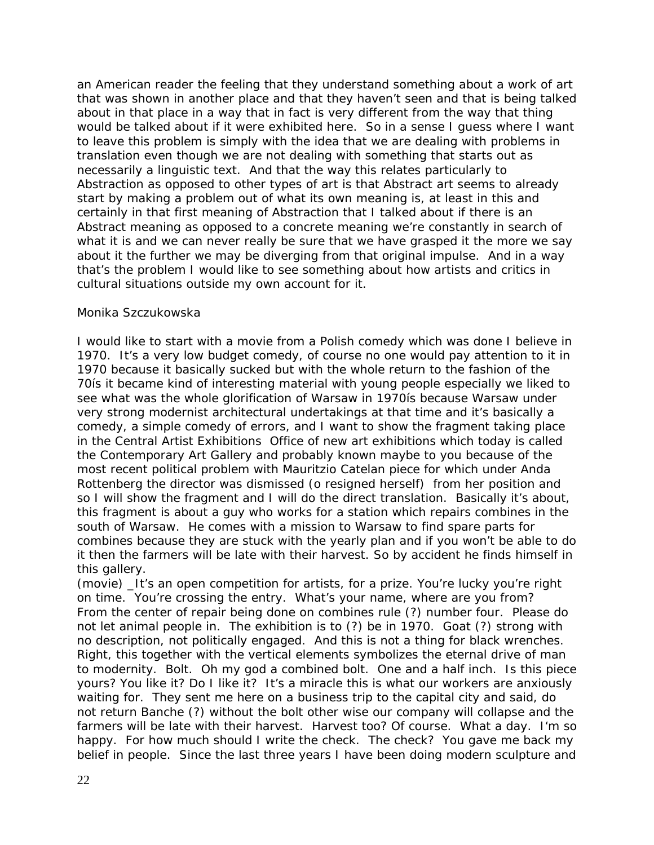an American reader the feeling that they understand something about a work of art that was shown in another place and that they haven't seen and that is being talked about in that place in a way that in fact is very different from the way that thing would be talked about if it were exhibited here. So in a sense I guess where I want to leave this problem is simply with the idea that we are dealing with problems in translation even though we are not dealing with something that starts out as necessarily a linguistic text. And that the way this relates particularly to Abstraction as opposed to other types of art is that Abstract art seems to already start by making a problem out of what its own meaning is, at least in this and certainly in that first meaning of Abstraction that I talked about if there is an Abstract meaning as opposed to a concrete meaning we're constantly in search of what it is and we can never really be sure that we have grasped it the more we say about it the further we may be diverging from that original impulse. And in a way that's the problem I would like to see something about how artists and critics in cultural situations outside my own account for it.

# Monika Szczukowska

I would like to start with a movie from a Polish comedy which was done I believe in 1970. It's a very low budget comedy, of course no one would pay attention to it in 1970 because it basically sucked but with the whole return to the fashion of the 70ís it became kind of interesting material with young people especially we liked to see what was the whole glorification of Warsaw in 1970ís because Warsaw under very strong modernist architectural undertakings at that time and it's basically a comedy, a simple comedy of errors, and I want to show the fragment taking place in the Central Artist Exhibitions Office of new art exhibitions which today is called the Contemporary Art Gallery and probably known maybe to you because of the most recent political problem with Mauritzio Catelan piece for which under Anda Rottenberg the director was dismissed (o resigned herself) from her position and so I will show the fragment and I will do the direct translation. Basically it's about, this fragment is about a guy who works for a station which repairs combines in the south of Warsaw. He comes with a mission to Warsaw to find spare parts for combines because they are stuck with the yearly plan and if you won't be able to do it then the farmers will be late with their harvest. So by accident he finds himself in this gallery.

(movie) \_It's an open competition for artists, for a prize. You're lucky you're right on time. You're crossing the entry. What's your name, where are you from? From the center of repair being done on combines rule (?) number four. Please do not let animal people in. The exhibition is to (?) be in 1970. Goat (?) strong with no description, not politically engaged. And this is not a thing for black wrenches. Right, this together with the vertical elements symbolizes the eternal drive of man to modernity. Bolt. Oh my god a combined bolt. One and a half inch. Is this piece yours? You like it? Do I like it? It's a miracle this is what our workers are anxiously waiting for. They sent me here on a business trip to the capital city and said, do not return Banche (?) without the bolt other wise our company will collapse and the farmers will be late with their harvest. Harvest too? Of course. What a day. I'm so happy. For how much should I write the check. The check? You gave me back my belief in people. Since the last three years I have been doing modern sculpture and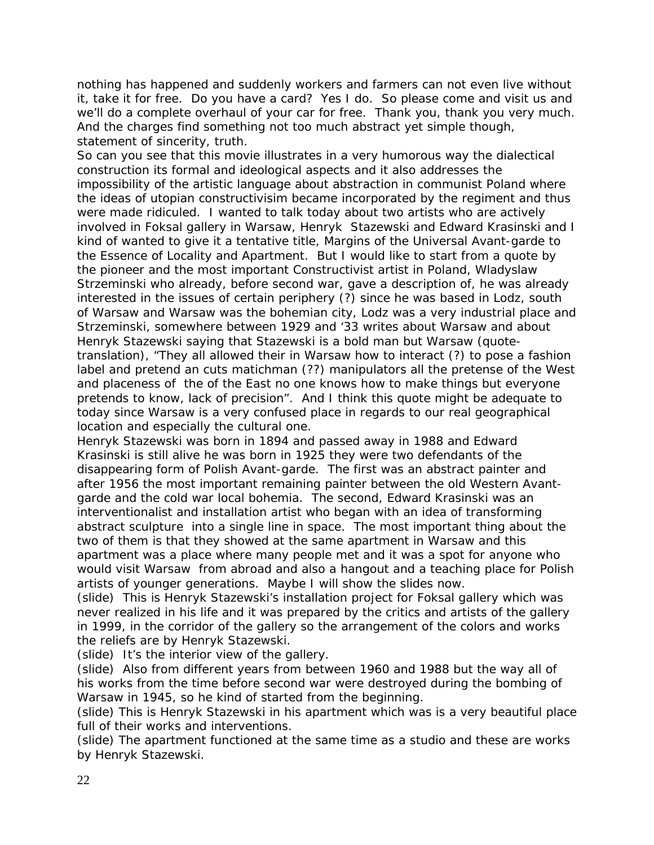nothing has happened and suddenly workers and farmers can not even live without it, take it for free. Do you have a card? Yes I do. So please come and visit us and we'll do a complete overhaul of your car for free. Thank you, thank you very much. And the charges find something not too much abstract yet simple though, statement of sincerity, truth.

So can you see that this movie illustrates in a very humorous way the dialectical construction its formal and ideological aspects and it also addresses the impossibility of the artistic language about abstraction in communist Poland where the ideas of utopian constructivisim became incorporated by the regiment and thus were made ridiculed. I wanted to talk today about two artists who are actively involved in Foksal gallery in Warsaw, Henryk Stazewski and Edward Krasinski and I kind of wanted to give it a tentative title, Margins of the Universal Avant-garde to the Essence of Locality and Apartment. But I would like to start from a quote by the pioneer and the most important Constructivist artist in Poland, Wladyslaw Strzeminski who already, before second war, gave a description of, he was already interested in the issues of certain periphery (?) since he was based in Lodz, south of Warsaw and Warsaw was the bohemian city, Lodz was a very industrial place and Strzeminski, somewhere between 1929 and '33 writes about Warsaw and about Henryk Stazewski saying that Stazewski is a bold man but Warsaw (quotetranslation), "They all allowed their in Warsaw how to interact (?) to pose a fashion label and pretend an cuts matichman (??) manipulators all the pretense of the West and placeness of the of the East no one knows how to make things but everyone pretends to know, lack of precision". And I think this quote might be adequate to today since Warsaw is a very confused place in regards to our real geographical location and especially the cultural one.

Henryk Stazewski was born in 1894 and passed away in 1988 and Edward Krasinski is still alive he was born in 1925 they were two defendants of the disappearing form of Polish Avant-garde. The first was an abstract painter and after 1956 the most important remaining painter between the old Western Avantgarde and the cold war local bohemia. The second, Edward Krasinski was an interventionalist and installation artist who began with an idea of transforming abstract sculpture into a single line in space. The most important thing about the two of them is that they showed at the same apartment in Warsaw and this apartment was a place where many people met and it was a spot for anyone who would visit Warsaw from abroad and also a hangout and a teaching place for Polish artists of younger generations. Maybe I will show the slides now.

(slide) This is Henryk Stazewski's installation project for Foksal gallery which was never realized in his life and it was prepared by the critics and artists of the gallery in 1999, in the corridor of the gallery so the arrangement of the colors and works the reliefs are by Henryk Stazewski.

(slide) It's the interior view of the gallery.

(slide) Also from different years from between 1960 and 1988 but the way all of his works from the time before second war were destroyed during the bombing of Warsaw in 1945, so he kind of started from the beginning.

(slide) This is Henryk Stazewski in his apartment which was is a very beautiful place full of their works and interventions.

(slide) The apartment functioned at the same time as a studio and these are works by Henryk Stazewski.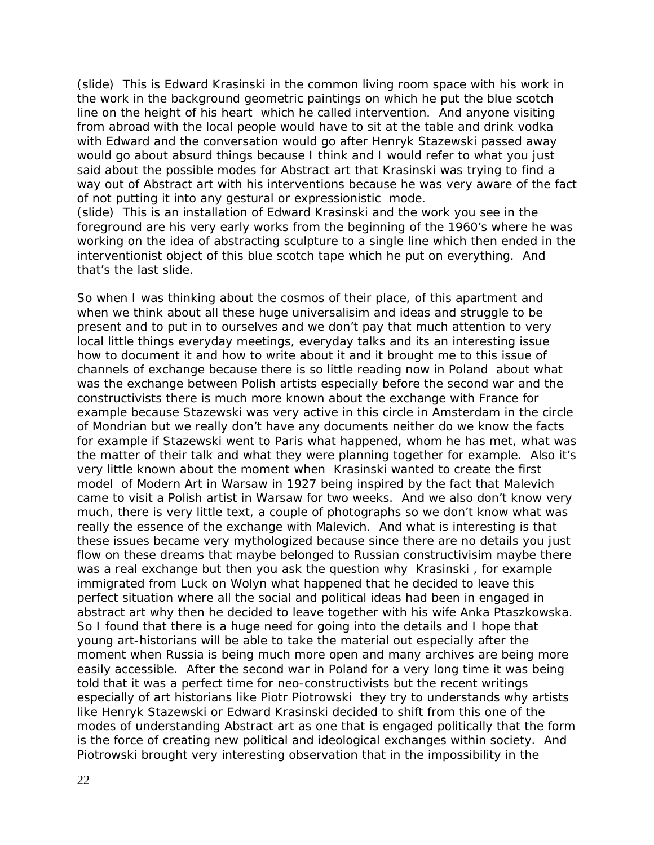(slide) This is Edward Krasinski in the common living room space with his work in the work in the background geometric paintings on which he put the blue scotch line on the height of his heart which he called intervention. And anyone visiting from abroad with the local people would have to sit at the table and drink vodka with Edward and the conversation would go after Henryk Stazewski passed away would go about absurd things because I think and I would refer to what you just said about the possible modes for Abstract art that Krasinski was trying to find a way out of Abstract art with his interventions because he was very aware of the fact of not putting it into any gestural or expressionistic mode.

(slide) This is an installation of Edward Krasinski and the work you see in the foreground are his very early works from the beginning of the 1960's where he was working on the idea of abstracting sculpture to a single line which then ended in the interventionist object of this blue scotch tape which he put on everything. And that's the last slide.

So when I was thinking about the cosmos of their place, of this apartment and when we think about all these huge universalisim and ideas and struggle to be present and to put in to ourselves and we don't pay that much attention to very local little things everyday meetings, everyday talks and its an interesting issue how to document it and how to write about it and it brought me to this issue of channels of exchange because there is so little reading now in Poland about what was the exchange between Polish artists especially before the second war and the constructivists there is much more known about the exchange with France for example because Stazewski was very active in this circle in Amsterdam in the circle of Mondrian but we really don't have any documents neither do we know the facts for example if Stazewski went to Paris what happened, whom he has met, what was the matter of their talk and what they were planning together for example. Also it's very little known about the moment when Krasinski wanted to create the first model of Modern Art in Warsaw in 1927 being inspired by the fact that Malevich came to visit a Polish artist in Warsaw for two weeks. And we also don't know very much, there is very little text, a couple of photographs so we don't know what was really the essence of the exchange with Malevich. And what is interesting is that these issues became very mythologized because since there are no details you just flow on these dreams that maybe belonged to Russian constructivisim maybe there was a real exchange but then you ask the question why Krasinski , for example immigrated from Luck on Wolyn what happened that he decided to leave this perfect situation where all the social and political ideas had been in engaged in abstract art why then he decided to leave together with his wife Anka Ptaszkowska. So I found that there is a huge need for going into the details and I hope that young art-historians will be able to take the material out especially after the moment when Russia is being much more open and many archives are being more easily accessible. After the second war in Poland for a very long time it was being told that it was a perfect time for neo-constructivists but the recent writings especially of art historians like Piotr Piotrowski they try to understands why artists like Henryk Stazewski or Edward Krasinski decided to shift from this one of the modes of understanding Abstract art as one that is engaged politically that the form is the force of creating new political and ideological exchanges within society. And Piotrowski brought very interesting observation that in the impossibility in the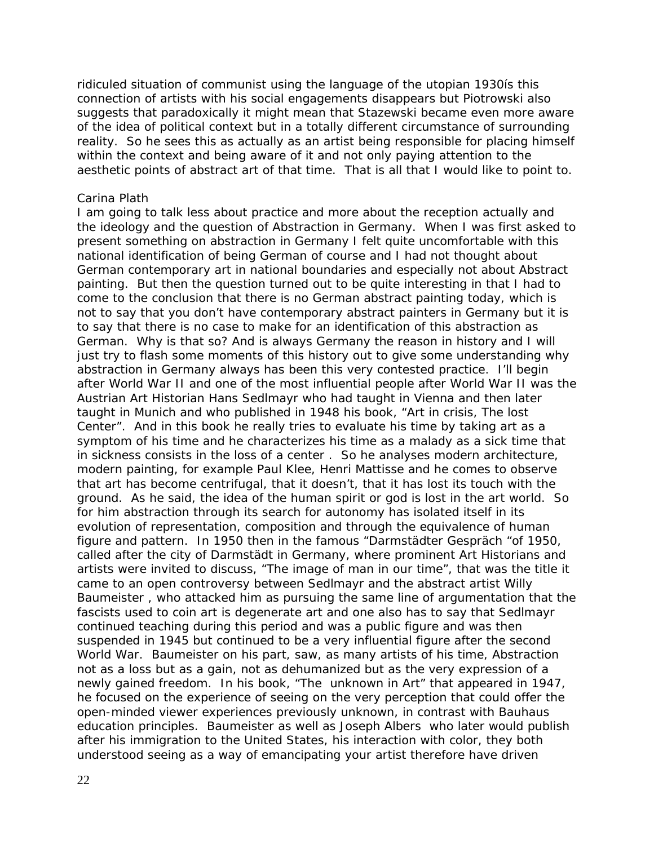ridiculed situation of communist using the language of the utopian 1930ís this connection of artists with his social engagements disappears but Piotrowski also suggests that paradoxically it might mean that Stazewski became even more aware of the idea of political context but in a totally different circumstance of surrounding reality. So he sees this as actually as an artist being responsible for placing himself within the context and being aware of it and not only paying attention to the aesthetic points of abstract art of that time. That is all that I would like to point to.

#### Carina Plath

I am going to talk less about practice and more about the reception actually and the ideology and the question of Abstraction in Germany. When I was first asked to present something on abstraction in Germany I felt quite uncomfortable with this national identification of being German of course and I had not thought about German contemporary art in national boundaries and especially not about Abstract painting. But then the question turned out to be quite interesting in that I had to come to the conclusion that there is no German abstract painting today, which is not to say that you don't have contemporary abstract painters in Germany but it is to say that there is no case to make for an identification of this abstraction as German. Why is that so? And is always Germany the reason in history and I will just try to flash some moments of this history out to give some understanding why abstraction in Germany always has been this very contested practice. I'll begin after World War II and one of the most influential people after World War II was the Austrian Art Historian Hans Sedlmayr who had taught in Vienna and then later taught in Munich and who published in 1948 his book, "Art in crisis, The lost Center". And in this book he really tries to evaluate his time by taking art as a symptom of his time and he characterizes his time as a malady as a sick time that in sickness consists in the loss of a center . So he analyses modern architecture, modern painting, for example Paul Klee, Henri Mattisse and he comes to observe that art has become centrifugal, that it doesn't, that it has lost its touch with the ground. As he said, the idea of the human spirit or god is lost in the art world. So for him abstraction through its search for autonomy has isolated itself in its evolution of representation, composition and through the equivalence of human figure and pattern. In 1950 then in the famous "Darmstädter Gespräch "of 1950, called after the city of Darmstädt in Germany, where prominent Art Historians and artists were invited to discuss, "The image of man in our time", that was the title it came to an open controversy between Sedlmayr and the abstract artist Willy Baumeister , who attacked him as pursuing the same line of argumentation that the fascists used to coin art is degenerate art and one also has to say that Sedlmayr continued teaching during this period and was a public figure and was then suspended in 1945 but continued to be a very influential figure after the second World War. Baumeister on his part, saw, as many artists of his time, Abstraction not as a loss but as a gain, not as dehumanized but as the very expression of a newly gained freedom. In his book, "The unknown in Art" that appeared in 1947, he focused on the experience of seeing on the very perception that could offer the open-minded viewer experiences previously unknown, in contrast with Bauhaus education principles. Baumeister as well as Joseph Albers who later would publish after his immigration to the United States, his interaction with color, they both understood seeing as a way of emancipating your artist therefore have driven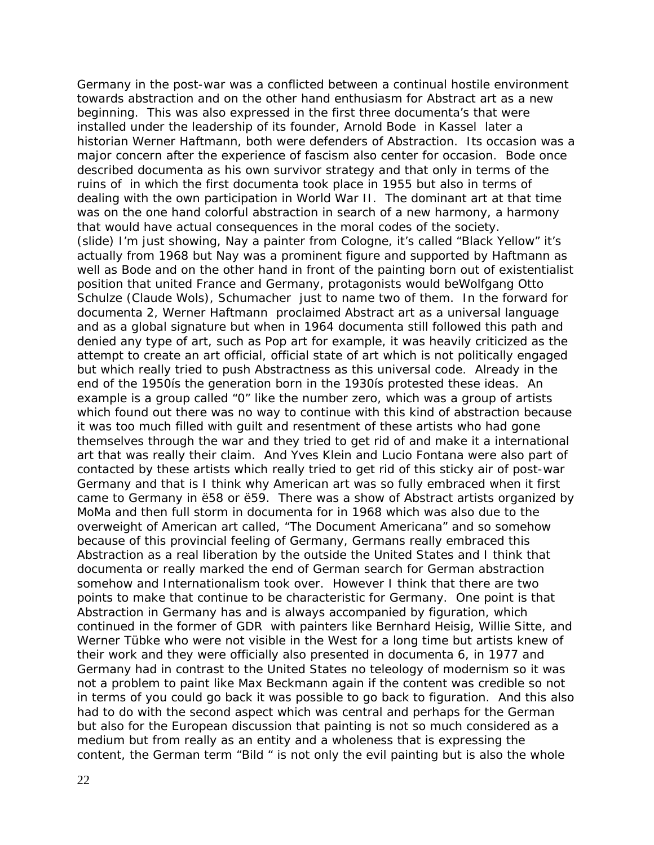Germany in the post-war was a conflicted between a continual hostile environment towards abstraction and on the other hand enthusiasm for Abstract art as a new beginning. This was also expressed in the first three documenta's that were installed under the leadership of its founder, Arnold Bode in Kassel later a historian Werner Haftmann, both were defenders of Abstraction. Its occasion was a major concern after the experience of fascism also center for occasion. Bode once described documenta as his own survivor strategy and that only in terms of the ruins of in which the first documenta took place in 1955 but also in terms of dealing with the own participation in World War II. The dominant art at that time was on the one hand colorful abstraction in search of a new harmony, a harmony that would have actual consequences in the moral codes of the society. (slide) I'm just showing, Nay a painter from Cologne, it's called "Black Yellow" it's actually from 1968 but Nay was a prominent figure and supported by Haftmann as well as Bode and on the other hand in front of the painting born out of existentialist position that united France and Germany, protagonists would beWolfgang Otto Schulze (Claude Wols), Schumacher just to name two of them. In the forward for documenta 2, Werner Haftmann proclaimed Abstract art as a universal language and as a global signature but when in 1964 documenta still followed this path and denied any type of art, such as Pop art for example, it was heavily criticized as the attempt to create an art official, official state of art which is not politically engaged but which really tried to push Abstractness as this universal code. Already in the end of the 1950ís the generation born in the 1930ís protested these ideas. An example is a group called "0" like the number zero, which was a group of artists which found out there was no way to continue with this kind of abstraction because it was too much filled with guilt and resentment of these artists who had gone themselves through the war and they tried to get rid of and make it a international art that was really their claim. And Yves Klein and Lucio Fontana were also part of contacted by these artists which really tried to get rid of this sticky air of post-war Germany and that is I think why American art was so fully embraced when it first came to Germany in ë58 or ë59. There was a show of Abstract artists organized by MoMa and then full storm in documenta for in 1968 which was also due to the overweight of American art called, "The Document Americana" and so somehow because of this provincial feeling of Germany, Germans really embraced this Abstraction as a real liberation by the outside the United States and I think that documenta or really marked the end of German search for German abstraction somehow and Internationalism took over. However I think that there are two points to make that continue to be characteristic for Germany. One point is that Abstraction in Germany has and is always accompanied by figuration, which continued in the former of GDR with painters like Bernhard Heisig, Willie Sitte, and Werner Tübke who were not visible in the West for a long time but artists knew of their work and they were officially also presented in documenta 6, in 1977 and Germany had in contrast to the United States no teleology of modernism so it was not a problem to paint like Max Beckmann again if the content was credible so not in terms of you could go back it was possible to go back to figuration. And this also had to do with the second aspect which was central and perhaps for the German but also for the European discussion that painting is not so much considered as a medium but from really as an entity and a wholeness that is expressing the content, the German term "Bild " is not only the evil painting but is also the whole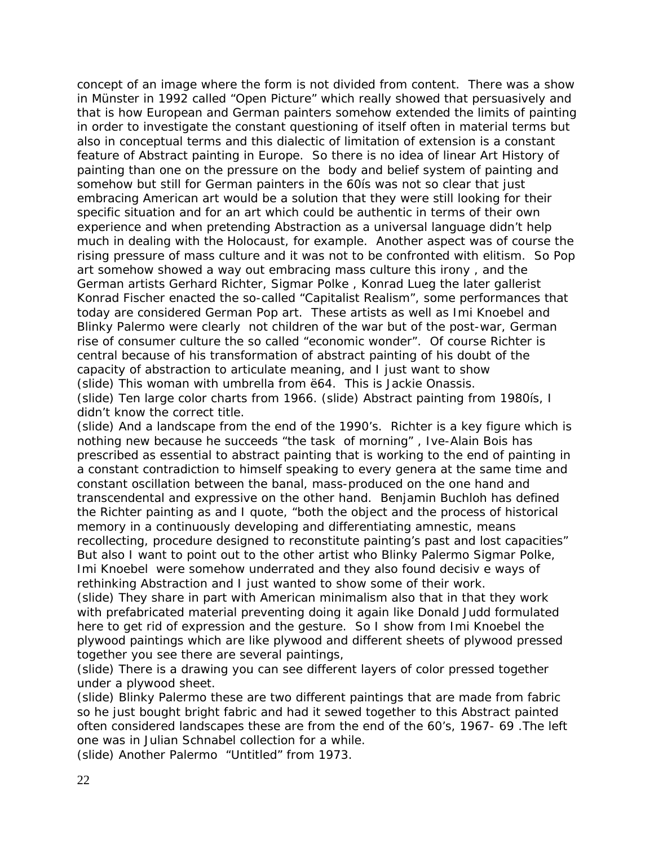concept of an image where the form is not divided from content. There was a show in Münster in 1992 called "Open Picture" which really showed that persuasively and that is how European and German painters somehow extended the limits of painting in order to investigate the constant questioning of itself often in material terms but also in conceptual terms and this dialectic of limitation of extension is a constant feature of Abstract painting in Europe. So there is no idea of linear Art History of painting than one on the pressure on the body and belief system of painting and somehow but still for German painters in the 60ís was not so clear that just embracing American art would be a solution that they were still looking for their specific situation and for an art which could be authentic in terms of their own experience and when pretending Abstraction as a universal language didn't help much in dealing with the Holocaust, for example. Another aspect was of course the rising pressure of mass culture and it was not to be confronted with elitism. So Pop art somehow showed a way out embracing mass culture this irony , and the German artists Gerhard Richter, Sigmar Polke , Konrad Lueg the later gallerist Konrad Fischer enacted the so-called "Capitalist Realism", some performances that today are considered German Pop art. These artists as well as Imi Knoebel and Blinky Palermo were clearly not children of the war but of the post-war, German rise of consumer culture the so called "economic wonder". Of course Richter is central because of his transformation of abstract painting of his doubt of the capacity of abstraction to articulate meaning, and I just want to show (slide) This woman with umbrella from ë64. This is Jackie Onassis. (slide) Ten large color charts from 1966. (slide) Abstract painting from 1980ís, I didn't know the correct title.

(slide) And a landscape from the end of the 1990's. Richter is a key figure which is nothing new because he succeeds "the task of morning" , Ive-Alain Bois has prescribed as essential to abstract painting that is working to the end of painting in a constant contradiction to himself speaking to every genera at the same time and constant oscillation between the banal, mass-produced on the one hand and transcendental and expressive on the other hand. Benjamin Buchloh has defined the Richter painting as and I quote, "both the object and the process of historical memory in a continuously developing and differentiating amnestic, means recollecting, procedure designed to reconstitute painting's past and lost capacities" But also I want to point out to the other artist who Blinky Palermo Sigmar Polke, Imi Knoebel were somehow underrated and they also found decisiv e ways of rethinking Abstraction and I just wanted to show some of their work.

(slide) They share in part with American minimalism also that in that they work with prefabricated material preventing doing it again like Donald Judd formulated here to get rid of expression and the gesture. So I show from Imi Knoebel the plywood paintings which are like plywood and different sheets of plywood pressed together you see there are several paintings,

(slide) There is a drawing you can see different layers of color pressed together under a plywood sheet.

(slide) Blinky Palermo these are two different paintings that are made from fabric so he just bought bright fabric and had it sewed together to this Abstract painted often considered landscapes these are from the end of the 60's, 1967- 69 .The left one was in Julian Schnabel collection for a while.

(slide) Another Palermo "Untitled" from 1973.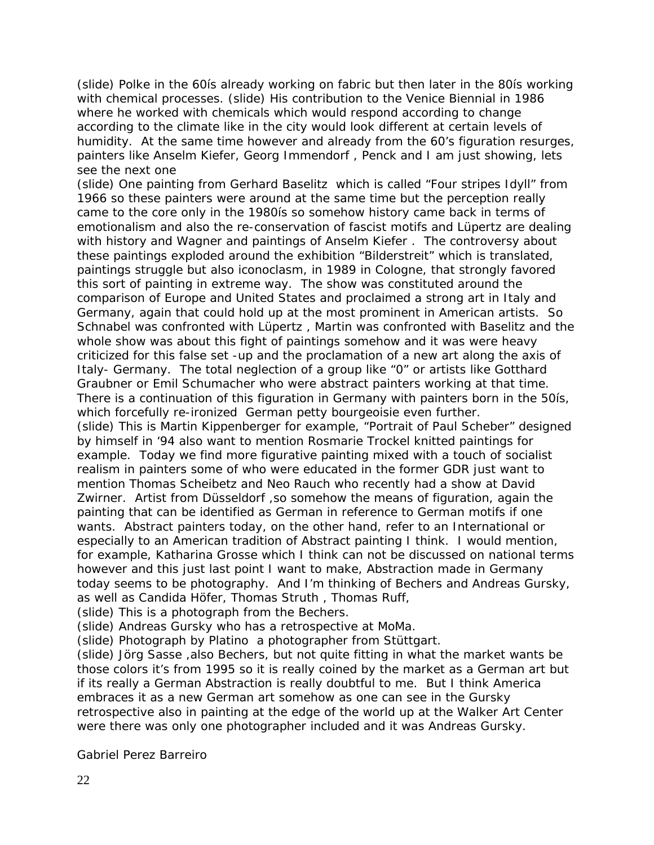(slide) Polke in the 60ís already working on fabric but then later in the 80ís working with chemical processes. (slide) His contribution to the Venice Biennial in 1986 where he worked with chemicals which would respond according to change according to the climate like in the city would look different at certain levels of humidity. At the same time however and already from the 60's figuration resurges, painters like Anselm Kiefer, Georg Immendorf , Penck and I am just showing, lets see the next one

(slide) One painting from Gerhard Baselitz which is called "Four stripes Idyll" from 1966 so these painters were around at the same time but the perception really came to the core only in the 1980ís so somehow history came back in terms of emotionalism and also the re-conservation of fascist motifs and Lüpertz are dealing with history and Wagner and paintings of Anselm Kiefer . The controversy about these paintings exploded around the exhibition "Bilderstreit" which is translated, paintings struggle but also iconoclasm, in 1989 in Cologne, that strongly favored this sort of painting in extreme way. The show was constituted around the comparison of Europe and United States and proclaimed a strong art in Italy and Germany, again that could hold up at the most prominent in American artists. So Schnabel was confronted with Lüpertz , Martin was confronted with Baselitz and the whole show was about this fight of paintings somehow and it was were heavy criticized for this false set -up and the proclamation of a new art along the axis of Italy- Germany. The total neglection of a group like "0" or artists like Gotthard Graubner or Emil Schumacher who were abstract painters working at that time. There is a continuation of this figuration in Germany with painters born in the 50ís, which forcefully re-ironized German petty bourgeoisie even further. (slide) This is Martin Kippenberger for example, "Portrait of Paul Scheber" designed by himself in '94 also want to mention Rosmarie Trockel knitted paintings for example. Today we find more figurative painting mixed with a touch of socialist realism in painters some of who were educated in the former GDR just want to mention Thomas Scheibetz and Neo Rauch who recently had a show at David Zwirner. Artist from Düsseldorf ,so somehow the means of figuration, again the painting that can be identified as German in reference to German motifs if one wants. Abstract painters today, on the other hand, refer to an International or especially to an American tradition of Abstract painting I think. I would mention, for example, Katharina Grosse which I think can not be discussed on national terms however and this just last point I want to make, Abstraction made in Germany today seems to be photography. And I'm thinking of Bechers and Andreas Gursky, as well as Candida Höfer, Thomas Struth , Thomas Ruff,

(slide) This is a photograph from the Bechers.

(slide) Andreas Gursky who has a retrospective at MoMa.

(slide) Photograph by Platino a photographer from Stüttgart.

(slide) Jörg Sasse, also Bechers, but not quite fitting in what the market wants be those colors it's from 1995 so it is really coined by the market as a German art but if its really a German Abstraction is really doubtful to me. But I think America embraces it as a new German art somehow as one can see in the Gursky retrospective also in painting at the edge of the world up at the Walker Art Center were there was only one photographer included and it was Andreas Gursky.

Gabriel Perez Barreiro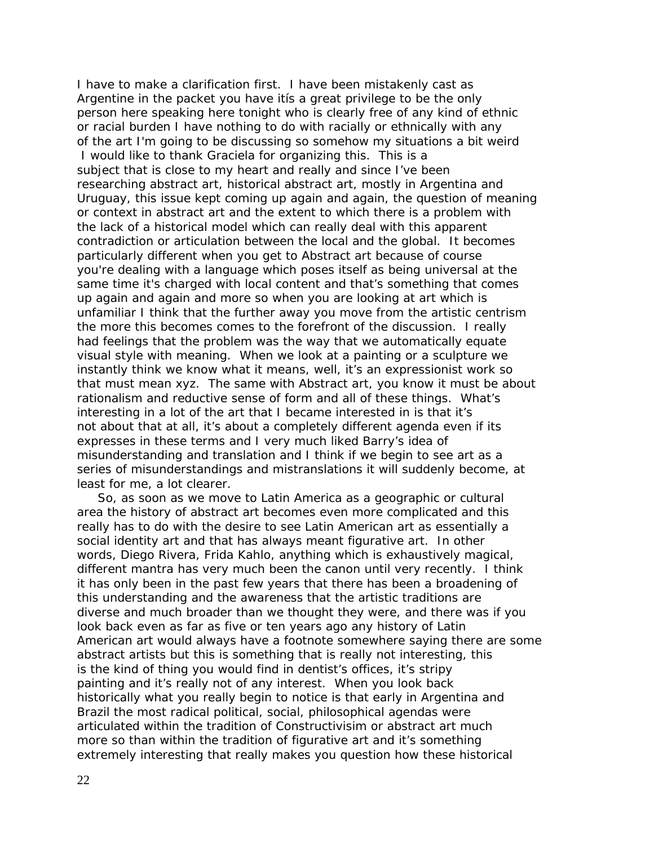I have to make a clarification first. I have been mistakenly cast as Argentine in the packet you have itís a great privilege to be the only person here speaking here tonight who is clearly free of any kind of ethnic or racial burden I have nothing to do with racially or ethnically with any of the art I'm going to be discussing so somehow my situations a bit weird I would like to thank Graciela for organizing this. This is a subject that is close to my heart and really and since I've been researching abstract art, historical abstract art, mostly in Argentina and Uruguay, this issue kept coming up again and again, the question of meaning or context in abstract art and the extent to which there is a problem with the lack of a historical model which can really deal with this apparent contradiction or articulation between the local and the global. It becomes particularly different when you get to Abstract art because of course you're dealing with a language which poses itself as being universal at the same time it's charged with local content and that's something that comes up again and again and more so when you are looking at art which is unfamiliar I think that the further away you move from the artistic centrism the more this becomes comes to the forefront of the discussion. I really had feelings that the problem was the way that we automatically equate visual style with meaning. When we look at a painting or a sculpture we instantly think we know what it means, well, it's an expressionist work so that must mean xyz. The same with Abstract art, you know it must be about rationalism and reductive sense of form and all of these things. What's interesting in a lot of the art that I became interested in is that it's not about that at all, it's about a completely different agenda even if its expresses in these terms and I very much liked Barry's idea of misunderstanding and translation and I think if we begin to see art as a series of misunderstandings and mistranslations it will suddenly become, at least for me, a lot clearer.

 So, as soon as we move to Latin America as a geographic or cultural area the history of abstract art becomes even more complicated and this really has to do with the desire to see Latin American art as essentially a social identity art and that has always meant figurative art. In other words, Diego Rivera, Frida Kahlo, anything which is exhaustively magical, different mantra has very much been the canon until very recently. I think it has only been in the past few years that there has been a broadening of this understanding and the awareness that the artistic traditions are diverse and much broader than we thought they were, and there was if you look back even as far as five or ten years ago any history of Latin American art would always have a footnote somewhere saying there are some abstract artists but this is something that is really not interesting, this is the kind of thing you would find in dentist's offices, it's stripy painting and it's really not of any interest. When you look back historically what you really begin to notice is that early in Argentina and Brazil the most radical political, social, philosophical agendas were articulated within the tradition of Constructivisim or abstract art much more so than within the tradition of figurative art and it's something extremely interesting that really makes you question how these historical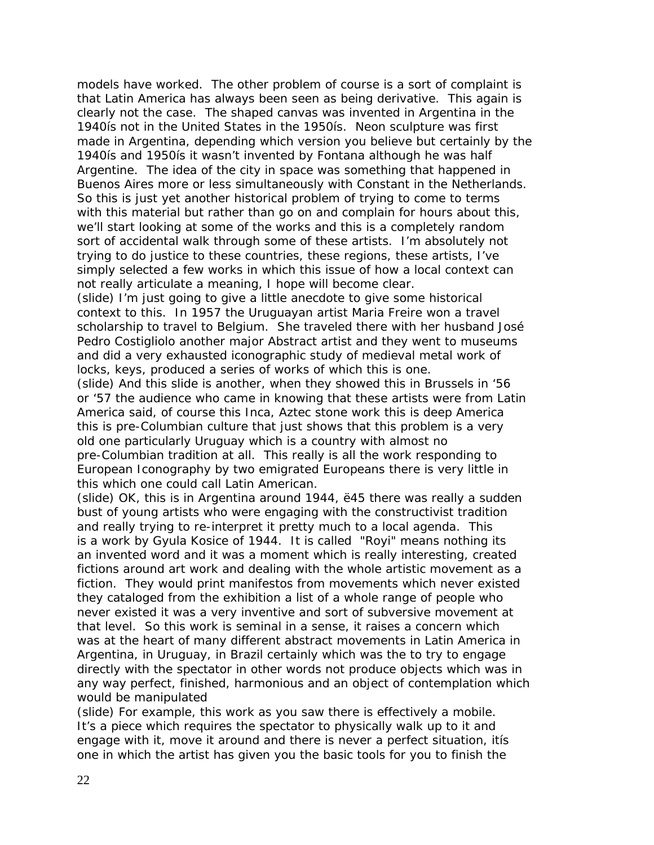models have worked. The other problem of course is a sort of complaint is that Latin America has always been seen as being derivative. This again is clearly not the case. The shaped canvas was invented in Argentina in the 1940ís not in the United States in the 1950ís. Neon sculpture was first made in Argentina, depending which version you believe but certainly by the 1940ís and 1950ís it wasn't invented by Fontana although he was half Argentine. The idea of the city in space was something that happened in Buenos Aires more or less simultaneously with Constant in the Netherlands. So this is just yet another historical problem of trying to come to terms with this material but rather than go on and complain for hours about this, we'll start looking at some of the works and this is a completely random sort of accidental walk through some of these artists. I'm absolutely not trying to do justice to these countries, these regions, these artists, I've simply selected a few works in which this issue of how a local context can not really articulate a meaning, I hope will become clear.

(slide) I'm just going to give a little anecdote to give some historical context to this. In 1957 the Uruguayan artist Maria Freire won a travel scholarship to travel to Belgium. She traveled there with her husband José Pedro Costigliolo another major Abstract artist and they went to museums and did a very exhausted iconographic study of medieval metal work of locks, keys, produced a series of works of which this is one.

(slide) And this slide is another, when they showed this in Brussels in '56 or '57 the audience who came in knowing that these artists were from Latin America said, of course this Inca, Aztec stone work this is deep America this is pre-Columbian culture that just shows that this problem is a very old one particularly Uruguay which is a country with almost no pre-Columbian tradition at all. This really is all the work responding to European Iconography by two emigrated Europeans there is very little in this which one could call Latin American.

(slide) OK, this is in Argentina around 1944, ë45 there was really a sudden bust of young artists who were engaging with the constructivist tradition and really trying to re-interpret it pretty much to a local agenda. This is a work by Gyula Kosice of 1944. It is called "Royi" means nothing its an invented word and it was a moment which is really interesting, created fictions around art work and dealing with the whole artistic movement as a fiction. They would print manifestos from movements which never existed they cataloged from the exhibition a list of a whole range of people who never existed it was a very inventive and sort of subversive movement at that level. So this work is seminal in a sense, it raises a concern which was at the heart of many different abstract movements in Latin America in Argentina, in Uruguay, in Brazil certainly which was the to try to engage directly with the spectator in other words not produce objects which was in any way perfect, finished, harmonious and an object of contemplation which would be manipulated

(slide) For example, this work as you saw there is effectively a mobile. It's a piece which requires the spectator to physically walk up to it and engage with it, move it around and there is never a perfect situation, itís one in which the artist has given you the basic tools for you to finish the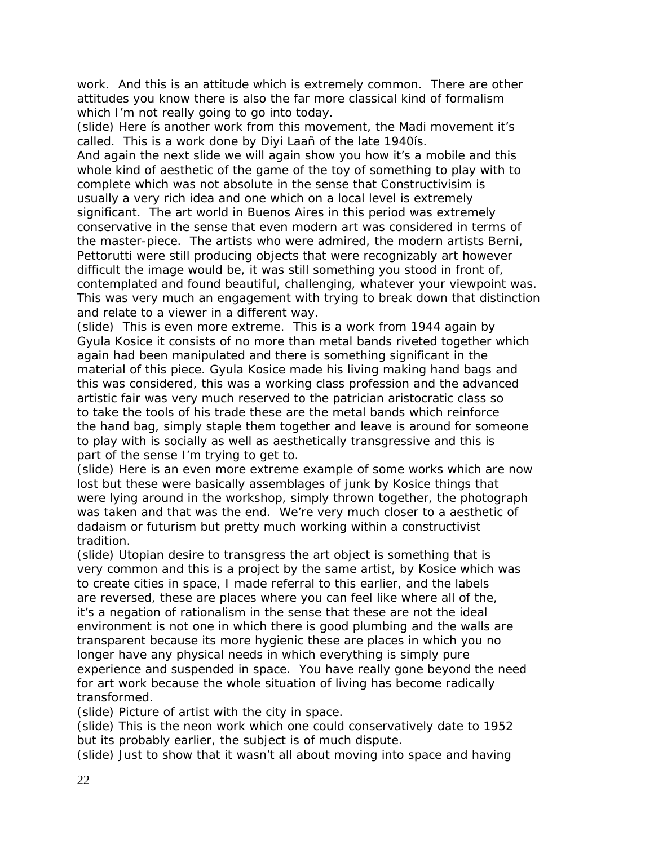work. And this is an attitude which is extremely common. There are other attitudes you know there is also the far more classical kind of formalism which I'm not really going to go into today.

(slide) Here ís another work from this movement, the Madi movement it's called. This is a work done by Diyi Laañ of the late 1940ís.

And again the next slide we will again show you how it's a mobile and this whole kind of aesthetic of the game of the toy of something to play with to complete which was not absolute in the sense that Constructivisim is usually a very rich idea and one which on a local level is extremely significant. The art world in Buenos Aires in this period was extremely conservative in the sense that even modern art was considered in terms of the master-piece. The artists who were admired, the modern artists Berni, Pettorutti were still producing objects that were recognizably art however difficult the image would be, it was still something you stood in front of, contemplated and found beautiful, challenging, whatever your viewpoint was. This was very much an engagement with trying to break down that distinction and relate to a viewer in a different way.

(slide) This is even more extreme. This is a work from 1944 again by Gyula Kosice it consists of no more than metal bands riveted together which again had been manipulated and there is something significant in the material of this piece. Gyula Kosice made his living making hand bags and this was considered, this was a working class profession and the advanced artistic fair was very much reserved to the patrician aristocratic class so to take the tools of his trade these are the metal bands which reinforce the hand bag, simply staple them together and leave is around for someone to play with is socially as well as aesthetically transgressive and this is part of the sense I'm trying to get to.

(slide) Here is an even more extreme example of some works which are now lost but these were basically assemblages of junk by Kosice things that were lying around in the workshop, simply thrown together, the photograph was taken and that was the end. We're very much closer to a aesthetic of dadaism or futurism but pretty much working within a constructivist tradition.

(slide) Utopian desire to transgress the art object is something that is very common and this is a project by the same artist, by Kosice which was to create cities in space, I made referral to this earlier, and the labels are reversed, these are places where you can feel like where all of the, it's a negation of rationalism in the sense that these are not the ideal environment is not one in which there is good plumbing and the walls are transparent because its more hygienic these are places in which you no longer have any physical needs in which everything is simply pure experience and suspended in space. You have really gone beyond the need for art work because the whole situation of living has become radically transformed.

(slide) Picture of artist with the city in space.

(slide) This is the neon work which one could conservatively date to 1952 but its probably earlier, the subject is of much dispute.

(slide) Just to show that it wasn't all about moving into space and having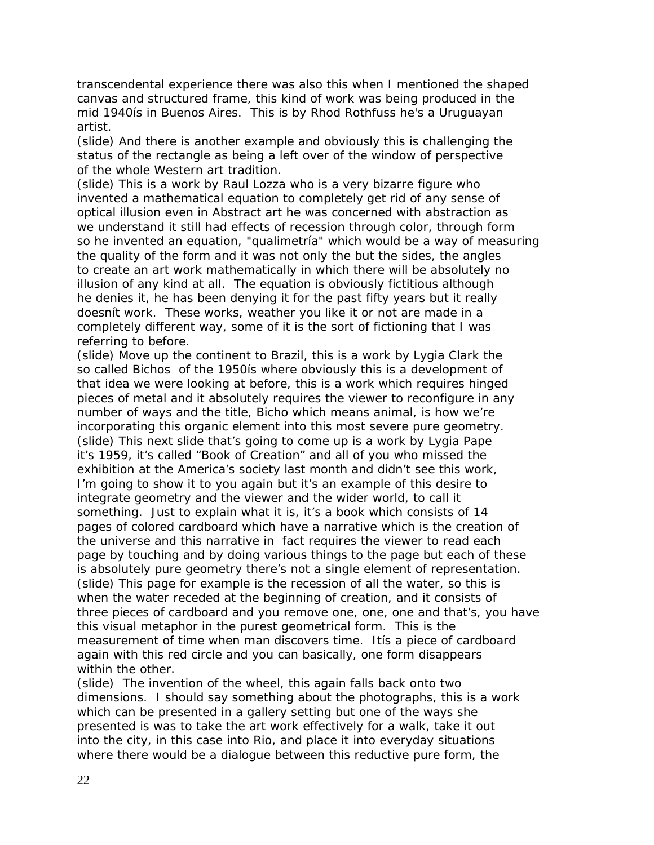transcendental experience there was also this when I mentioned the shaped canvas and structured frame, this kind of work was being produced in the mid 1940ís in Buenos Aires. This is by Rhod Rothfuss he's a Uruguayan artist.

(slide) And there is another example and obviously this is challenging the status of the rectangle as being a left over of the window of perspective of the whole Western art tradition.

(slide) This is a work by Raul Lozza who is a very bizarre figure who invented a mathematical equation to completely get rid of any sense of optical illusion even in Abstract art he was concerned with abstraction as we understand it still had effects of recession through color, through form so he invented an equation, "qualimetría" which would be a way of measuring the quality of the form and it was not only the but the sides, the angles to create an art work mathematically in which there will be absolutely no illusion of any kind at all. The equation is obviously fictitious although he denies it, he has been denying it for the past fifty years but it really doesnít work. These works, weather you like it or not are made in a completely different way, some of it is the sort of fictioning that I was referring to before.

(slide) Move up the continent to Brazil, this is a work by Lygia Clark the so called Bichos of the 1950ís where obviously this is a development of that idea we were looking at before, this is a work which requires hinged pieces of metal and it absolutely requires the viewer to reconfigure in any number of ways and the title, Bicho which means animal, is how we're incorporating this organic element into this most severe pure geometry. (slide) This next slide that's going to come up is a work by Lygia Pape it's 1959, it's called "Book of Creation" and all of you who missed the exhibition at the America's society last month and didn't see this work, I'm going to show it to you again but it's an example of this desire to integrate geometry and the viewer and the wider world, to call it something. Just to explain what it is, it's a book which consists of 14 pages of colored cardboard which have a narrative which is the creation of the universe and this narrative in fact requires the viewer to read each page by touching and by doing various things to the page but each of these is absolutely pure geometry there's not a single element of representation. (slide) This page for example is the recession of all the water, so this is when the water receded at the beginning of creation, and it consists of three pieces of cardboard and you remove one, one, one and that's, you have this visual metaphor in the purest geometrical form. This is the measurement of time when man discovers time. Itís a piece of cardboard again with this red circle and you can basically, one form disappears within the other.

(slide) The invention of the wheel, this again falls back onto two dimensions. I should say something about the photographs, this is a work which can be presented in a gallery setting but one of the ways she presented is was to take the art work effectively for a walk, take it out into the city, in this case into Rio, and place it into everyday situations where there would be a dialogue between this reductive pure form, the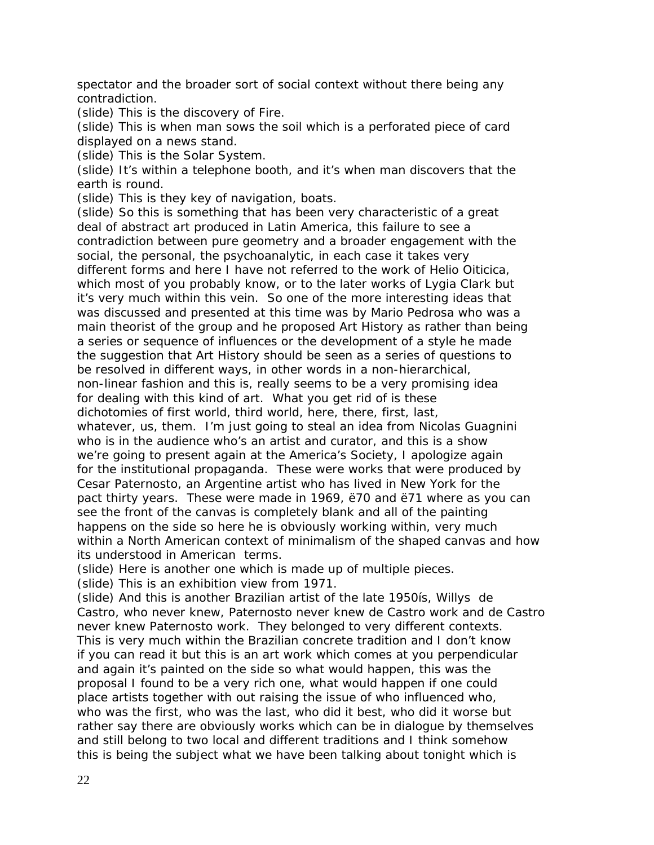spectator and the broader sort of social context without there being any contradiction.

(slide) This is the discovery of Fire.

(slide) This is when man sows the soil which is a perforated piece of card displayed on a news stand.

(slide) This is the Solar System.

(slide) It's within a telephone booth, and it's when man discovers that the earth is round.

(slide) This is they key of navigation, boats.

(slide) So this is something that has been very characteristic of a great deal of abstract art produced in Latin America, this failure to see a contradiction between pure geometry and a broader engagement with the social, the personal, the psychoanalytic, in each case it takes very different forms and here I have not referred to the work of Helio Oiticica, which most of you probably know, or to the later works of Lygia Clark but it's very much within this vein. So one of the more interesting ideas that was discussed and presented at this time was by Mario Pedrosa who was a main theorist of the group and he proposed Art History as rather than being a series or sequence of influences or the development of a style he made the suggestion that Art History should be seen as a series of questions to be resolved in different ways, in other words in a non-hierarchical, non-linear fashion and this is, really seems to be a very promising idea for dealing with this kind of art. What you get rid of is these dichotomies of first world, third world, here, there, first, last, whatever, us, them. I'm just going to steal an idea from Nicolas Guagnini who is in the audience who's an artist and curator, and this is a show we're going to present again at the America's Society, I apologize again for the institutional propaganda. These were works that were produced by Cesar Paternosto, an Argentine artist who has lived in New York for the pact thirty years. These were made in 1969, ë70 and ë71 where as you can see the front of the canvas is completely blank and all of the painting happens on the side so here he is obviously working within, very much within a North American context of minimalism of the shaped canvas and how its understood in American terms.

(slide) Here is another one which is made up of multiple pieces.

(slide) This is an exhibition view from 1971.

(slide) And this is another Brazilian artist of the late 1950ís, Willys de Castro, who never knew, Paternosto never knew de Castro work and de Castro never knew Paternosto work. They belonged to very different contexts. This is very much within the Brazilian concrete tradition and I don't know if you can read it but this is an art work which comes at you perpendicular and again it's painted on the side so what would happen, this was the proposal I found to be a very rich one, what would happen if one could place artists together with out raising the issue of who influenced who, who was the first, who was the last, who did it best, who did it worse but rather say there are obviously works which can be in dialogue by themselves and still belong to two local and different traditions and I think somehow this is being the subject what we have been talking about tonight which is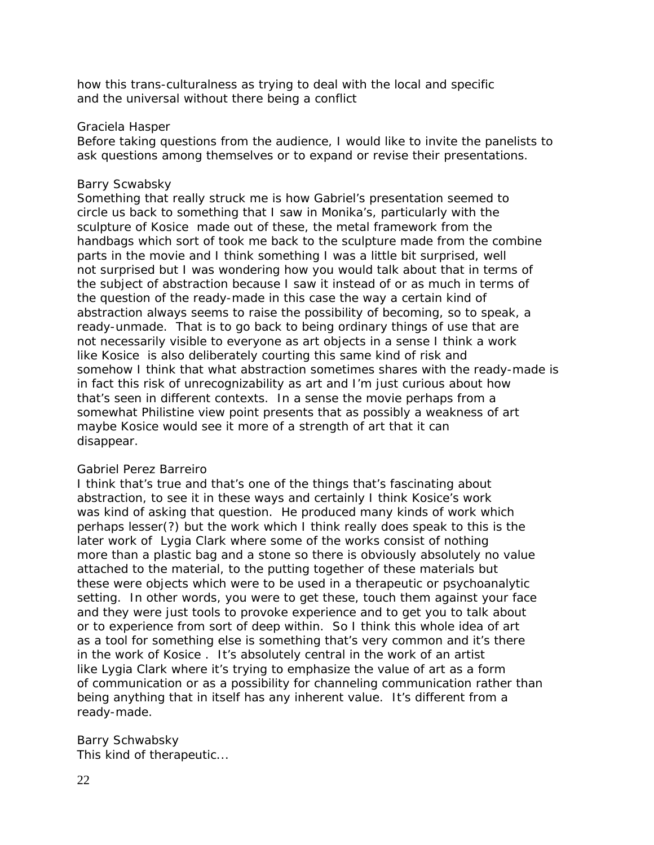how this trans-culturalness as trying to deal with the local and specific and the universal without there being a conflict

#### Graciela Hasper

Before taking questions from the audience, I would like to invite the panelists to ask questions among themselves or to expand or revise their presentations.

#### Barry Scwabsky

Something that really struck me is how Gabriel's presentation seemed to circle us back to something that I saw in Monika's, particularly with the sculpture of Kosice made out of these, the metal framework from the handbags which sort of took me back to the sculpture made from the combine parts in the movie and I think something I was a little bit surprised, well not surprised but I was wondering how you would talk about that in terms of the subject of abstraction because I saw it instead of or as much in terms of the question of the ready-made in this case the way a certain kind of abstraction always seems to raise the possibility of becoming, so to speak, a ready-unmade. That is to go back to being ordinary things of use that are not necessarily visible to everyone as art objects in a sense I think a work like Kosice is also deliberately courting this same kind of risk and somehow I think that what abstraction sometimes shares with the ready-made is in fact this risk of unrecognizability as art and I'm just curious about how that's seen in different contexts. In a sense the movie perhaps from a somewhat Philistine view point presents that as possibly a weakness of art maybe Kosice would see it more of a strength of art that it can disappear.

## Gabriel Perez Barreiro

I think that's true and that's one of the things that's fascinating about abstraction, to see it in these ways and certainly I think Kosice's work was kind of asking that question. He produced many kinds of work which perhaps lesser(?) but the work which I think really does speak to this is the later work of Lygia Clark where some of the works consist of nothing more than a plastic bag and a stone so there is obviously absolutely no value attached to the material, to the putting together of these materials but these were objects which were to be used in a therapeutic or psychoanalytic setting. In other words, you were to get these, touch them against your face and they were just tools to provoke experience and to get you to talk about or to experience from sort of deep within. So I think this whole idea of art as a tool for something else is something that's very common and it's there in the work of Kosice . It's absolutely central in the work of an artist like Lygia Clark where it's trying to emphasize the value of art as a form of communication or as a possibility for channeling communication rather than being anything that in itself has any inherent value. It's different from a ready-made.

Barry Schwabsky This kind of therapeutic...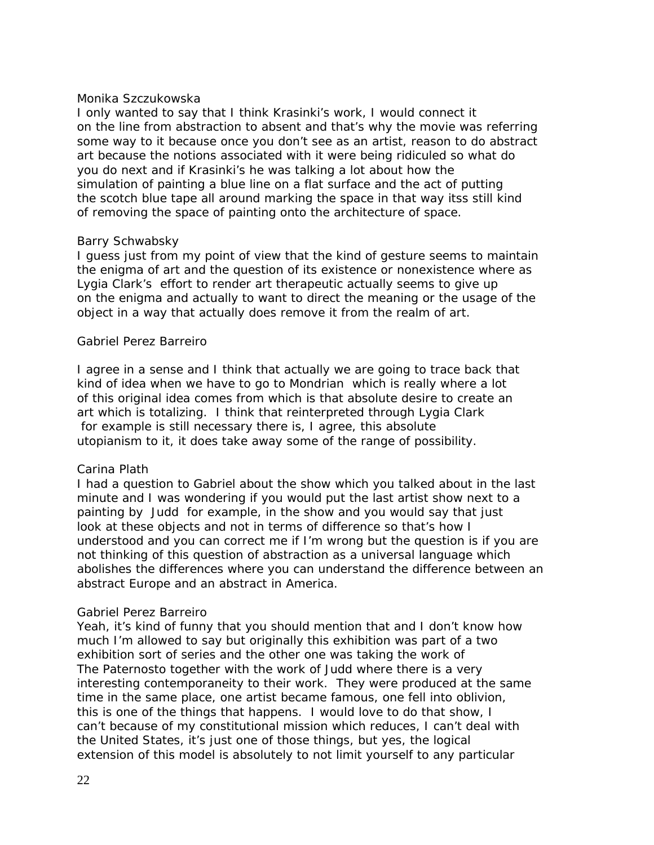### Monika Szczukowska

I only wanted to say that I think Krasinki's work, I would connect it on the line from abstraction to absent and that's why the movie was referring some way to it because once you don't see as an artist, reason to do abstract art because the notions associated with it were being ridiculed so what do you do next and if Krasinki's he was talking a lot about how the simulation of painting a blue line on a flat surface and the act of putting the scotch blue tape all around marking the space in that way itss still kind of removing the space of painting onto the architecture of space.

### Barry Schwabsky

I guess just from my point of view that the kind of gesture seems to maintain the enigma of art and the question of its existence or nonexistence where as Lygia Clark's effort to render art therapeutic actually seems to give up on the enigma and actually to want to direct the meaning or the usage of the object in a way that actually does remove it from the realm of art.

### Gabriel Perez Barreiro

I agree in a sense and I think that actually we are going to trace back that kind of idea when we have to go to Mondrian which is really where a lot of this original idea comes from which is that absolute desire to create an art which is totalizing. I think that reinterpreted through Lygia Clark for example is still necessary there is, I agree, this absolute utopianism to it, it does take away some of the range of possibility.

## Carina Plath

I had a question to Gabriel about the show which you talked about in the last minute and I was wondering if you would put the last artist show next to a painting by Judd for example, in the show and you would say that just look at these objects and not in terms of difference so that's how I understood and you can correct me if I'm wrong but the question is if you are not thinking of this question of abstraction as a universal language which abolishes the differences where you can understand the difference between an abstract Europe and an abstract in America.

#### Gabriel Perez Barreiro

Yeah, it's kind of funny that you should mention that and I don't know how much I'm allowed to say but originally this exhibition was part of a two exhibition sort of series and the other one was taking the work of The Paternosto together with the work of Judd where there is a very interesting contemporaneity to their work. They were produced at the same time in the same place, one artist became famous, one fell into oblivion, this is one of the things that happens. I would love to do that show, I can't because of my constitutional mission which reduces, I can't deal with the United States, it's just one of those things, but yes, the logical extension of this model is absolutely to not limit yourself to any particular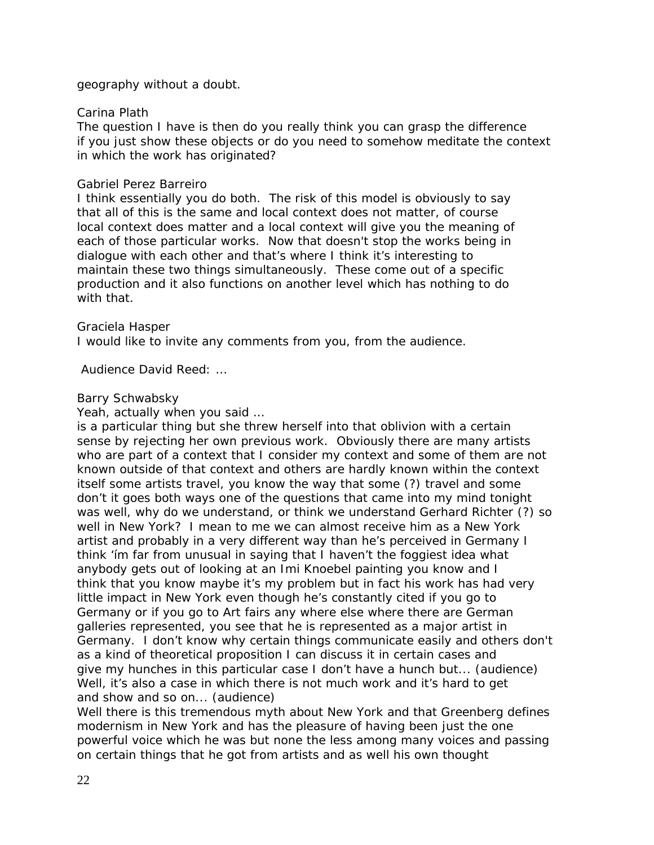geography without a doubt.

### Carina Plath

The question I have is then do you really think you can grasp the difference if you just show these objects or do you need to somehow meditate the context in which the work has originated?

### Gabriel Perez Barreiro

I think essentially you do both. The risk of this model is obviously to say that all of this is the same and local context does not matter, of course local context does matter and a local context will give you the meaning of each of those particular works. Now that doesn't stop the works being in dialogue with each other and that's where I think it's interesting to maintain these two things simultaneously. These come out of a specific production and it also functions on another level which has nothing to do with that.

### Graciela Hasper

I would like to invite any comments from you, from the audience.

Audience David Reed: …

### Barry Schwabsky

Yeah, actually when you said …

is a particular thing but she threw herself into that oblivion with a certain sense by rejecting her own previous work. Obviously there are many artists who are part of a context that I consider my context and some of them are not known outside of that context and others are hardly known within the context itself some artists travel, you know the way that some (?) travel and some don't it goes both ways one of the questions that came into my mind tonight was well, why do we understand, or think we understand Gerhard Richter (?) so well in New York? I mean to me we can almost receive him as a New York artist and probably in a very different way than he's perceived in Germany I think 'ím far from unusual in saying that I haven't the foggiest idea what anybody gets out of looking at an Imi Knoebel painting you know and I think that you know maybe it's my problem but in fact his work has had very little impact in New York even though he's constantly cited if you go to Germany or if you go to Art fairs any where else where there are German galleries represented, you see that he is represented as a major artist in Germany. I don't know why certain things communicate easily and others don't as a kind of theoretical proposition I can discuss it in certain cases and give my hunches in this particular case I don't have a hunch but... (audience) Well, it's also a case in which there is not much work and it's hard to get and show and so on... (audience)

Well there is this tremendous myth about New York and that Greenberg defines modernism in New York and has the pleasure of having been just the one powerful voice which he was but none the less among many voices and passing on certain things that he got from artists and as well his own thought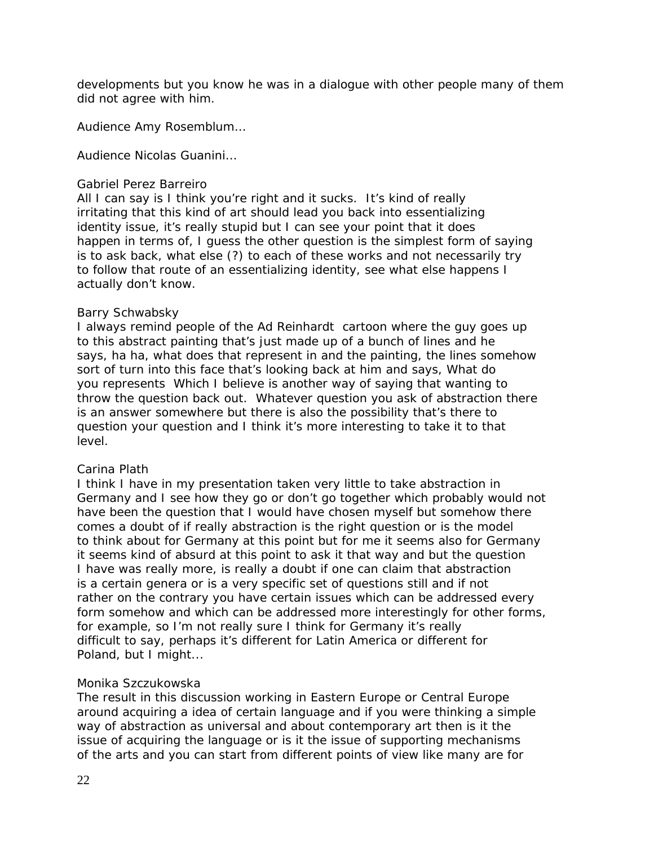developments but you know he was in a dialogue with other people many of them did not agree with him.

Audience Amy Rosemblum…

Audience Nicolas Guanini…

## Gabriel Perez Barreiro

All I can say is I think you're right and it sucks. It's kind of really irritating that this kind of art should lead you back into essentializing identity issue, it's really stupid but I can see your point that it does happen in terms of, I guess the other question is the simplest form of saying is to ask back, what else (?) to each of these works and not necessarily try to follow that route of an essentializing identity, see what else happens I actually don't know.

# Barry Schwabsky

I always remind people of the Ad Reinhardt cartoon where the guy goes up to this abstract painting that's just made up of a bunch of lines and he says, ha ha, what does that represent in and the painting, the lines somehow sort of turn into this face that's looking back at him and says, What do you represents Which I believe is another way of saying that wanting to throw the question back out. Whatever question you ask of abstraction there is an answer somewhere but there is also the possibility that's there to question your question and I think it's more interesting to take it to that level.

# Carina Plath

I think I have in my presentation taken very little to take abstraction in Germany and I see how they go or don't go together which probably would not have been the question that I would have chosen myself but somehow there comes a doubt of if really abstraction is the right question or is the model to think about for Germany at this point but for me it seems also for Germany it seems kind of absurd at this point to ask it that way and but the question I have was really more, is really a doubt if one can claim that abstraction is a certain genera or is a very specific set of questions still and if not rather on the contrary you have certain issues which can be addressed every form somehow and which can be addressed more interestingly for other forms, for example, so I'm not really sure I think for Germany it's really difficult to say, perhaps it's different for Latin America or different for Poland, but I might...

# Monika Szczukowska

The result in this discussion working in Eastern Europe or Central Europe around acquiring a idea of certain language and if you were thinking a simple way of abstraction as universal and about contemporary art then is it the issue of acquiring the language or is it the issue of supporting mechanisms of the arts and you can start from different points of view like many are for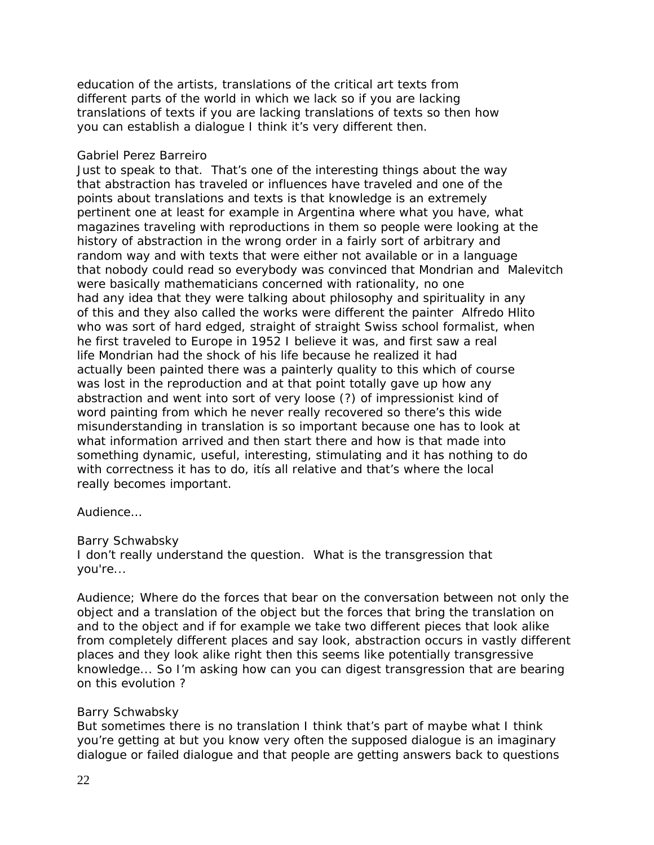education of the artists, translations of the critical art texts from different parts of the world in which we lack so if you are lacking translations of texts if you are lacking translations of texts so then how you can establish a dialogue I think it's very different then.

### Gabriel Perez Barreiro

Just to speak to that. That's one of the interesting things about the way that abstraction has traveled or influences have traveled and one of the points about translations and texts is that knowledge is an extremely pertinent one at least for example in Argentina where what you have, what magazines traveling with reproductions in them so people were looking at the history of abstraction in the wrong order in a fairly sort of arbitrary and random way and with texts that were either not available or in a language that nobody could read so everybody was convinced that Mondrian and Malevitch were basically mathematicians concerned with rationality, no one had any idea that they were talking about philosophy and spirituality in any of this and they also called the works were different the painter Alfredo Hlito who was sort of hard edged, straight of straight Swiss school formalist, when he first traveled to Europe in 1952 I believe it was, and first saw a real life Mondrian had the shock of his life because he realized it had actually been painted there was a painterly quality to this which of course was lost in the reproduction and at that point totally gave up how any abstraction and went into sort of very loose (?) of impressionist kind of word painting from which he never really recovered so there's this wide misunderstanding in translation is so important because one has to look at what information arrived and then start there and how is that made into something dynamic, useful, interesting, stimulating and it has nothing to do with correctness it has to do, itís all relative and that's where the local really becomes important.

Audience…

Barry Schwabsky

I don't really understand the question. What is the transgression that you're...

Audience; Where do the forces that bear on the conversation between not only the object and a translation of the object but the forces that bring the translation on and to the object and if for example we take two different pieces that look alike from completely different places and say look, abstraction occurs in vastly different places and they look alike right then this seems like potentially transgressive knowledge... So I'm asking how can you can digest transgression that are bearing on this evolution ?

## Barry Schwabsky

But sometimes there is no translation I think that's part of maybe what I think you're getting at but you know very often the supposed dialogue is an imaginary dialogue or failed dialogue and that people are getting answers back to questions